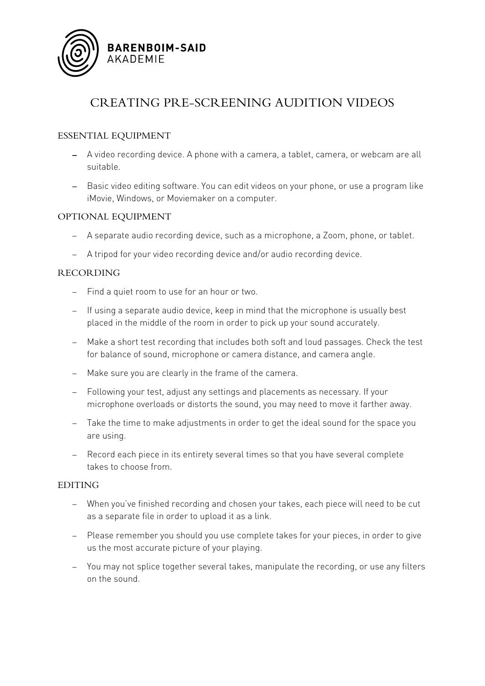

# CREATING PRE-SCREENING AUDITION VIDEOS

# ESSENTIAL EQUIPMENT

- − A video recording device. A phone with a camera, a tablet, camera, or webcam are all suitable.
- − Basic video editing software. You can edit videos on your phone, or use a program like iMovie, Windows, or Moviemaker on a computer.

## OPTIONAL EQUIPMENT

- − A separate audio recording device, such as a microphone, a Zoom, phone, or tablet.
- − A tripod for your video recording device and/or audio recording device.

## RECORDING

- − Find a quiet room to use for an hour or two.
- − If using a separate audio device, keep in mind that the microphone is usually best placed in the middle of the room in order to pick up your sound accurately.
- − Make a short test recording that includes both soft and loud passages. Check the test for balance of sound, microphone or camera distance, and camera angle.
- − Make sure you are clearly in the frame of the camera.
- − Following your test, adjust any settings and placements as necessary. If your microphone overloads or distorts the sound, you may need to move it farther away.
- − Take the time to make adjustments in order to get the ideal sound for the space you are using.
- − Record each piece in its entirety several times so that you have several complete takes to choose from.

#### EDITING

- − When you've finished recording and chosen your takes, each piece will need to be cut as a separate file in order to upload it as a link.
- − Please remember you should you use complete takes for your pieces, in order to give us the most accurate picture of your playing.
- − You may not splice together several takes, manipulate the recording, or use any filters on the sound.